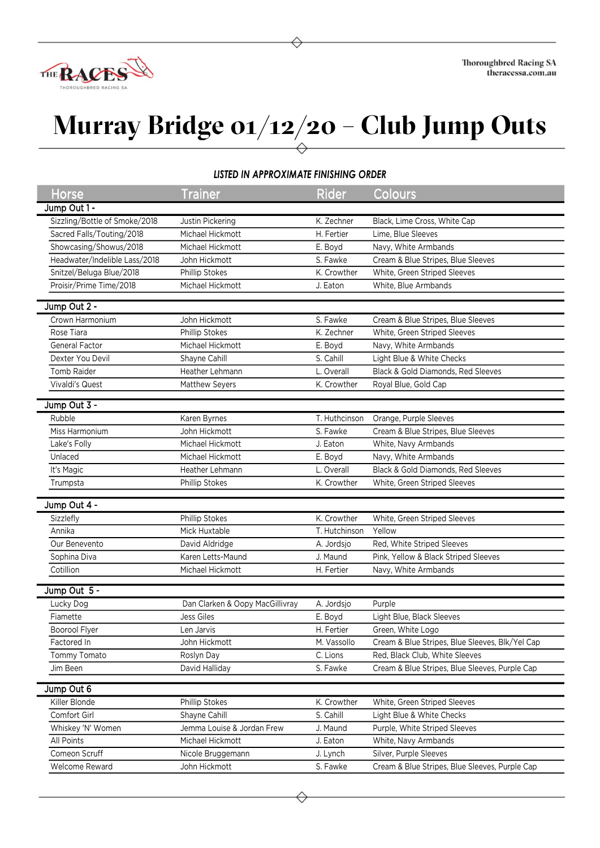

## **Murray Bridge 01/12/20 – Club Jump Outs**

## *LISTED IN APPROXIMATE FINISHING ORDER*

| Horse                         | <b>Trainer</b>                                 | <b>Rider</b>  | Colours                                                                  |
|-------------------------------|------------------------------------------------|---------------|--------------------------------------------------------------------------|
| Jump Out 1 -                  |                                                |               |                                                                          |
| Sizzling/Bottle of Smoke/2018 | Justin Pickering                               | K. Zechner    | Black, Lime Cross, White Cap                                             |
| Sacred Falls/Touting/2018     | Michael Hickmott                               | H. Fertier    | Lime, Blue Sleeves                                                       |
| Showcasing/Showus/2018        | Michael Hickmott                               | E. Boyd       | Navy, White Armbands                                                     |
| Headwater/Indelible Lass/2018 | John Hickmott                                  | S. Fawke      | Cream & Blue Stripes, Blue Sleeves                                       |
| Snitzel/Beluga Blue/2018      | Phillip Stokes                                 | K. Crowther   | White, Green Striped Sleeves                                             |
| Proisir/Prime Time/2018       | Michael Hickmott                               | J. Eaton      | White, Blue Armbands                                                     |
|                               |                                                |               |                                                                          |
| Jump Out 2 -                  |                                                |               |                                                                          |
| Crown Harmonium               | John Hickmott                                  | S. Fawke      | Cream & Blue Stripes, Blue Sleeves                                       |
| Rose Tiara                    | Phillip Stokes                                 | K. Zechner    | White, Green Striped Sleeves                                             |
| <b>General Factor</b>         | Michael Hickmott                               | E. Boyd       | Navy, White Armbands                                                     |
| Dexter You Devil              | Shayne Cahill                                  | S. Cahill     | Light Blue & White Checks                                                |
| Tomb Raider                   | Heather Lehmann                                | L. Overall    | Black & Gold Diamonds, Red Sleeves                                       |
| Vivaldi's Quest               | Matthew Seyers                                 | K. Crowther   | Royal Blue, Gold Cap                                                     |
| Jump Out 3 -                  |                                                |               |                                                                          |
| Rubble                        | Karen Byrnes                                   | T. Huthcinson | Orange, Purple Sleeves                                                   |
| Miss Harmonium                | John Hickmott                                  | S. Fawke      | Cream & Blue Stripes, Blue Sleeves                                       |
| Lake's Folly                  | Michael Hickmott                               | J. Eaton      | White, Navy Armbands                                                     |
| Unlaced                       | Michael Hickmott                               | E. Boyd       | Navy, White Armbands                                                     |
|                               |                                                |               | Black & Gold Diamonds, Red Sleeves                                       |
| It's Magic                    | Heather Lehmann                                | L. Overall    |                                                                          |
| Trumpsta                      | Phillip Stokes                                 | K. Crowther   | White, Green Striped Sleeves                                             |
| Jump Out 4 -                  |                                                |               |                                                                          |
| Sizzlefly                     | Phillip Stokes                                 | K. Crowther   | White, Green Striped Sleeves                                             |
| Annika                        | Mick Huxtable                                  | T. Hutchinson | Yellow                                                                   |
| Our Benevento                 | David Aldridge                                 | A. Jordsjo    | Red, White Striped Sleeves                                               |
| Sophina Diva                  | Karen Letts-Maund                              | J. Maund      | Pink, Yellow & Black Striped Sleeves                                     |
| Cotillion                     | Michael Hickmott                               | H. Fertier    | Navy, White Armbands                                                     |
|                               |                                                |               |                                                                          |
| Jump Out 5 -                  |                                                |               |                                                                          |
| Lucky Dog                     | Dan Clarken & Oopy MacGillivray                | A. Jordsjo    | Purple                                                                   |
| Fiamette                      | Jess Giles                                     | E. Boyd       | Light Blue, Black Sleeves                                                |
| Boorool Flyer                 | Len Jarvis                                     | H. Fertier    | Green, White Logo                                                        |
| Factored In                   | John Hickmott                                  | M. Vassollo   | Cream & Blue Stripes, Blue Sleeves, Blk/Yel Cap                          |
| Tommy Tomato                  | Roslyn Day                                     | C. Lions      | Red, Black Club, White Sleeves                                           |
| Jim Been                      | David Halliday                                 | S. Fawke      | Cream & Blue Stripes, Blue Sleeves, Purple Cap                           |
| Jump Out 6                    |                                                |               |                                                                          |
| Killer Blonde                 | Phillip Stokes                                 | K. Crowther   | White, Green Striped Sleeves                                             |
| Comfort Girl                  | Shayne Cahill                                  | S. Cahill     | Light Blue & White Checks                                                |
| Whiskey 'N' Women             |                                                |               | Purple, White Striped Sleeves                                            |
| All Points                    | Jemma Louise & Jordan Frew<br>Michael Hickmott | J. Maund      |                                                                          |
|                               |                                                | J. Eaton      | White, Navy Armbands                                                     |
| Comeon Scruff                 | Nicole Bruggemann                              | J. Lynch      | Silver, Purple Sleeves<br>Cream & Blue Stripes, Blue Sleeves, Purple Cap |
| Welcome Reward                | John Hickmott                                  | S. Fawke      |                                                                          |